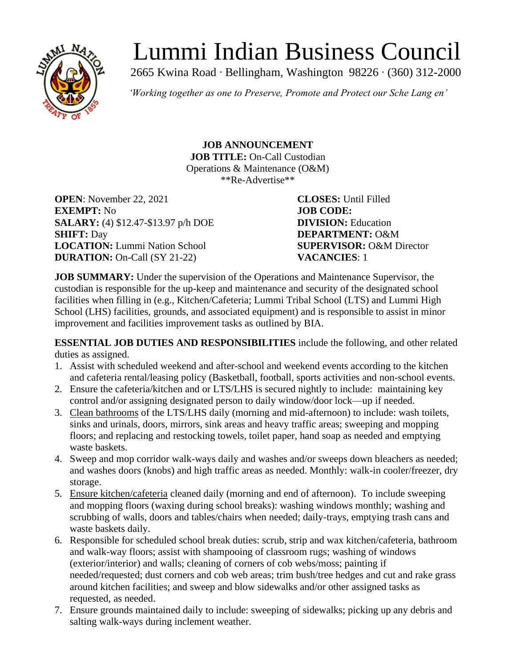

# Lummi Indian Business Council

2665 Kwina Road ∙ Bellingham, Washington 98226 ∙ (360) 312-2000

*'Working together as one to Preserve, Promote and Protect our Sche Lang en'*

**JOB ANNOUNCEMENT JOB TITLE:** On-Call Custodian Operations & Maintenance (O&M) \*\*Re-Advertise\*\*

**OPEN**: November 22, 2021 **CLOSES:** Until Filled **EXEMPT:** No **JOB CODE: SALARY:** (4) \$12.47-\$13.97 p/h DOE **DIVISION:** Education **SHIFT:** Day **DEPARTMENT:** O&M **LOCATION:** Lummi Nation School **SUPERVISOR:** O&M Director **DURATION:** On-Call (SY 21-22) **VACANCIES**: 1

**JOB SUMMARY:** Under the supervision of the Operations and Maintenance Supervisor, the custodian is responsible for the up-keep and maintenance and security of the designated school facilities when filling in (e.g., Kitchen/Cafeteria; Lummi Tribal School (LTS) and Lummi High School (LHS) facilities, grounds, and associated equipment) and is responsible to assist in minor improvement and facilities improvement tasks as outlined by BIA.

**ESSENTIAL JOB DUTIES AND RESPONSIBILITIES** include the following, and other related duties as assigned.

- 1. Assist with scheduled weekend and after-school and weekend events according to the kitchen and cafeteria rental/leasing policy (Basketball, football, sports activities and non-school events.
- 2. Ensure the cafeteria/kitchen and or LTS/LHS is secured nightly to include: maintaining key control and/or assigning designated person to daily window/door lock—up if needed.
- 3. Clean bathrooms of the LTS/LHS daily (morning and mid-afternoon) to include: wash toilets, sinks and urinals, doors, mirrors, sink areas and heavy traffic areas; sweeping and mopping floors; and replacing and restocking towels, toilet paper, hand soap as needed and emptying waste baskets.
- 4. Sweep and mop corridor walk-ways daily and washes and/or sweeps down bleachers as needed; and washes doors (knobs) and high traffic areas as needed. Monthly: walk-in cooler/freezer, dry storage.
- 5. Ensure kitchen/cafeteria cleaned daily (morning and end of afternoon). To include sweeping and mopping floors (waxing during school breaks): washing windows monthly; washing and scrubbing of walls, doors and tables/chairs when needed; daily-trays, emptying trash cans and waste baskets daily.
- 6. Responsible for scheduled school break duties: scrub, strip and wax kitchen/cafeteria, bathroom and walk-way floors; assist with shampooing of classroom rugs; washing of windows (exterior/interior) and walls; cleaning of corners of cob webs/moss; painting if needed/requested; dust corners and cob web areas; trim bush/tree hedges and cut and rake grass around kitchen facilities; and sweep and blow sidewalks and/or other assigned tasks as requested, as needed.
- 7. Ensure grounds maintained daily to include: sweeping of sidewalks; picking up any debris and salting walk-ways during inclement weather.